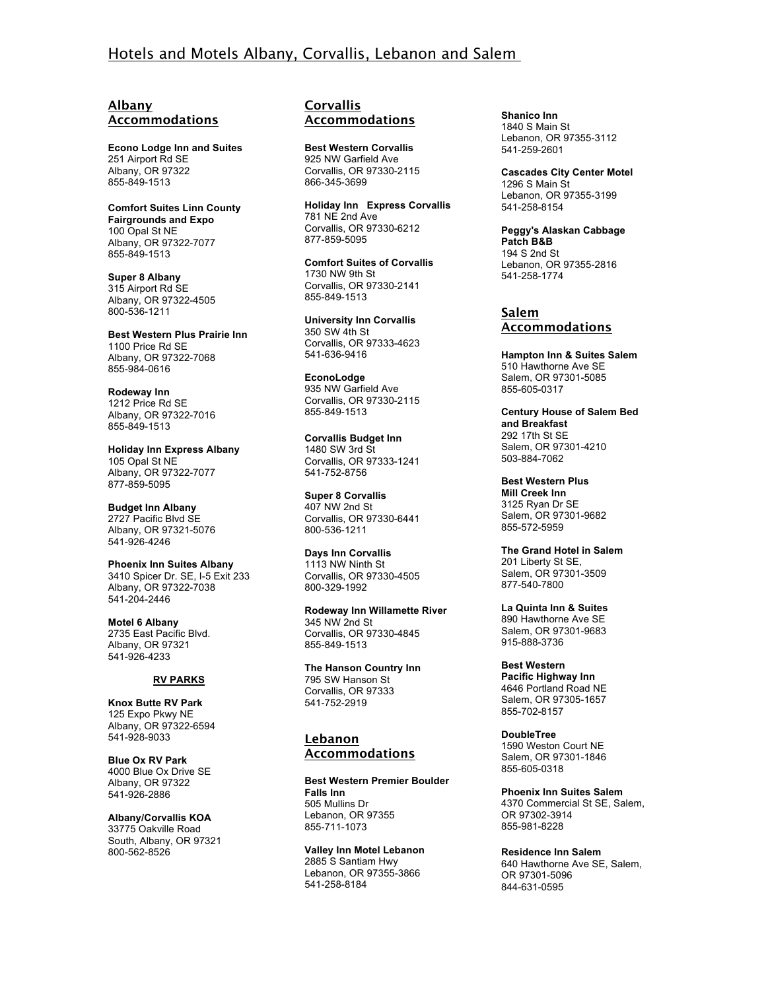# Hotels and Motels Albany, Corvallis, Lebanon and Salem

## **Albany Accommodations**

**Econo Lodge Inn and Suites** 251 Airport Rd SE Albany, OR 97322 855-849-1513

**Comfort Suites Linn County Fairgrounds and Expo** 100 Opal St NE Albany, OR 97322-7077 855-849-1513

**Super 8 Albany** 315 Airport Rd SE Albany, OR 97322-4505 800-536-1211

**Best Western Plus Prairie Inn** 1100 Price Rd SE Albany, OR 97322-7068 855-984-0616

**Rodeway Inn** 1212 Price Rd SE Albany, OR 97322-7016 855-849-1513

**Holiday Inn Express Albany** 105 Opal St NE Albany, OR 97322-7077 877-859-5095

**Budget Inn Albany** 2727 Pacific Blvd SE Albany, OR 97321-5076 541-926-4246

**Phoenix Inn Suites Albany** 3410 Spicer Dr. SE, I-5 Exit 233 Albany, OR 97322-7038 541-204-2446

**Motel 6 Albany** 2735 East Pacific Blvd. Albany, OR 97321 541-926-4233

#### **RV PARKS**

**Knox Butte RV Park** 125 Expo Pkwy NE Albany, OR 97322-6594 541-928-9033

**Blue Ox RV Park** 4000 Blue Ox Drive SE Albany, OR 97322 541-926-2886

**Albany/Corvallis KOA** 33775 Oakville Road South, Albany, OR 97321 800-562-8526

#### **Corvallis Accommodations**

**Best Western Corvallis** 925 NW Garfield Ave Corvallis, OR 97330-2115 866-345-3699

**Holiday Inn Express Corvallis** 781 NE 2nd Ave Corvallis, OR 97330-6212 877-859-5095

**Comfort Suites of Corvallis** 1730 NW 9th St Corvallis, OR 97330-2141 855-849-1513

**University Inn Corvallis** 350 SW 4th St Corvallis, OR 97333-4623 541-636-9416

**EconoLodge** 935 NW Garfield Ave Corvallis, OR 97330-2115 855-849-1513

**Corvallis Budget Inn** 1480 SW 3rd St Corvallis, OR 97333-1241 541-752-8756

**Super 8 Corvallis** 407 NW 2nd St Corvallis, OR 97330-6441 800-536-1211

**Days Inn Corvallis** 1113 NW Ninth St Corvallis, OR 97330-4505 800-329-1992

**Rodeway Inn Willamette River** 345 NW 2nd St Corvallis, OR 97330-4845 855-849-1513

**The Hanson Country Inn** 795 SW Hanson St Corvallis, OR 97333 541-752-2919

### **Lebanon Accommodations**

**Best Western Premier Boulder Falls Inn** 505 Mullins Dr Lebanon, OR 97355 855-711-1073

**Valley Inn Motel Lebanon** 2885 S Santiam Hwy Lebanon, OR 97355-3866 541-258-8184

**Shanico Inn** 1840 S Main St Lebanon, OR 97355-3112 541-259-2601

**Cascades City Center Motel** 1296 S Main St Lebanon, OR 97355-3199 541-258-8154

**Peggy's Alaskan Cabbage Patch B&B** 194 S 2nd St Lebanon, OR 97355-2816 541-258-1774

## **Salem Accommodations**

**Hampton Inn & Suites Salem** 510 Hawthorne Ave SE Salem, OR 97301-5085 855-605-0317

**Century House of Salem Bed and Breakfast** 292 17th St SE Salem, OR 97301-4210 503-884-7062

**Best Western Plus Mill Creek Inn** 3125 Ryan Dr SE Salem, OR 97301-9682 855-572-5959

**The Grand Hotel in Salem** 201 Liberty St SE, Salem, OR 97301-3509 877-540-7800

**La Quinta Inn & Suites** 890 Hawthorne Ave SE Salem, OR 97301-9683 915-888-3736

**Best Western Pacific Highway Inn** 4646 Portland Road NE Salem, OR 97305-1657 855-702-8157

**DoubleTree**  1590 Weston Court NE Salem, OR 97301-1846 855-605-0318

**Phoenix Inn Suites Salem** 4370 Commercial St SE, Salem, OR 97302-3914 855-981-8228

**Residence Inn Salem** 640 Hawthorne Ave SE, Salem, OR 97301-5096 844-631-0595